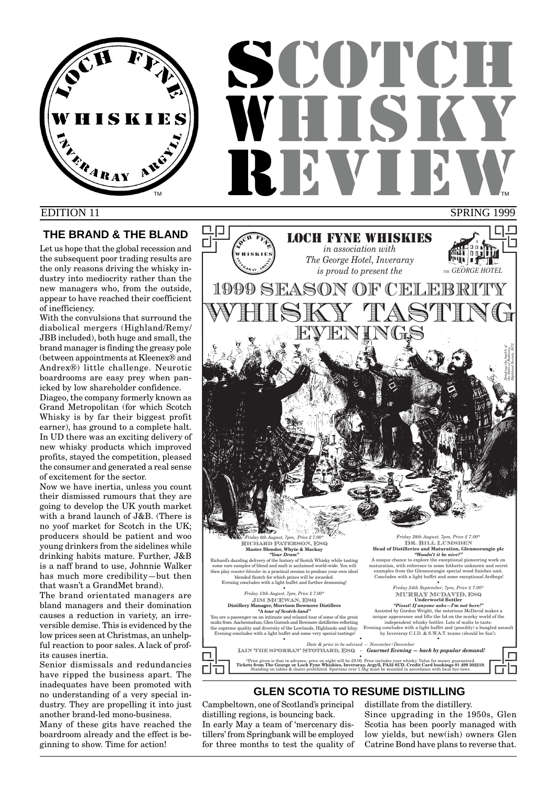

# **SCOTCH** WHISKY REVIEW SPRING 1999 TM **THE REPORT OF STATE OF STATE OF STATE OF STATE OF STATE OF STATE OF STATE OF STATE OF STATE OF STATE OF STATE OF STATE OF STATE OF STATE OF STATE OF STATE OF STATE OF STATE OF STATE OF STATE OF STATE OF STATE OF STATE**

## EDITION 11

## **THE BRAND & THE BLAND**

Let us hope that the global recession and the subsequent poor trading results are the only reasons driving the whisky industry into mediocrity rather than the new managers who, from the outside, appear to have reached their coefficient of inefficiency.

With the convulsions that surround the diabolical mergers (Highland/Remy/ JBB included), both huge and small, the brand manager is finding the greasy pole (between appointments at Kleenex® and Andrex®) little challenge. Neurotic boardrooms are easy prey when panicked by low shareholder confidence.

Diageo, the company formerly known as Grand Metropolitan (for which Scotch Whisky is by far their biggest profit earner), has ground to a complete halt. In UD there was an exciting delivery of new whisky products which improved profits, stayed the competition, pleased the consumer and generated a real sense of excitement for the sector.

Now we have inertia, unless you count their dismissed rumours that they are going to develop the UK youth market with a brand launch of J&B. (There is no yoof market for Scotch in the UK; producers should be patient and woo young drinkers from the sidelines while drinking habits mature. Further, J&B is a naff brand to use, Johnnie Walker has much more credibility—but then that wasn't a GrandMet brand).

The brand orientated managers are bland managers and their domination causes a reduction in variety, an irreversible demise. This is evidenced by the low prices seen at Christmas, an unhelpful reaction to poor sales. A lack of profits causes inertia.

Senior dismissals and redundancies have ripped the business apart. The inadequates have been promoted with no understanding of a very special industry. They are propelling it into just another brand-led mono-business. Many of these gits have reached the boardroom already and the effect is beginning to show. Time for action!



## **GLEN SCOTIA TO RESUME DISTILLING**

Campbeltown, one of Scotland's principal distilling regions, is bouncing back. In early May a team of 'mercenary distillers' from Springbank will be employed for three months to test the quality of

distillate from the distillery. Since upgrading in the 1950s, Glen Scotia has been poorly managed with low yields, but new(ish) owners Glen Catrine Bond have plans to reverse that.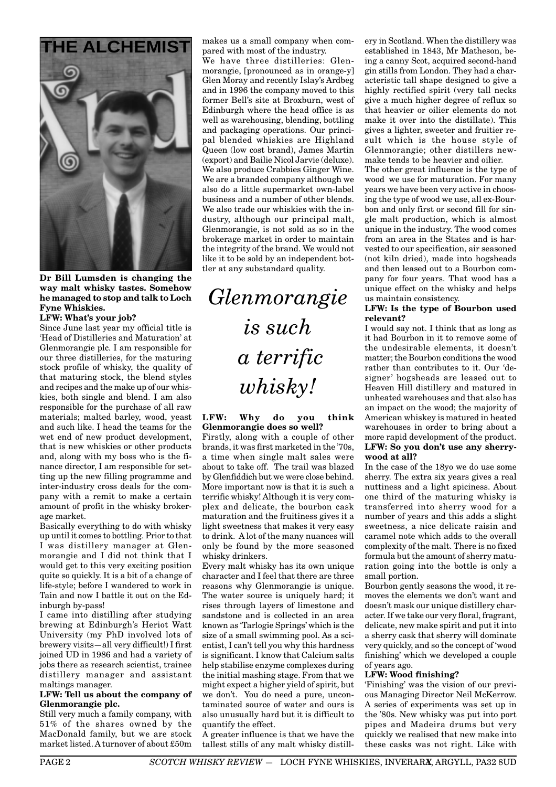

**Dr Bill Lumsden is changing the way malt whisky tastes. Somehow he managed to stop and talk to Loch Fyne Whiskies.**

#### **LFW: What's your job?**

Since June last year my official title is 'Head of Distilleries and Maturation' at Glenmorangie plc. I am responsible for our three distilleries, for the maturing stock profile of whisky, the quality of that maturing stock, the blend styles and recipes and the make up of our whiskies, both single and blend. I am also responsible for the purchase of all raw materials; malted barley, wood, yeast and such like. I head the teams for the wet end of new product development, that is new whiskies or other products and, along with my boss who is the finance director, I am responsible for setting up the new filling programme and inter-industry cross deals for the company with a remit to make a certain amount of profit in the whisky brokerage market.

Basically everything to do with whisky up until it comes to bottling. Prior to that I was distillery manager at Glenmorangie and I did not think that I would get to this very exciting position quite so quickly. It is a bit of a change of life-style; before I wandered to work in Tain and now I battle it out on the Edinburgh by-pass!

I came into distilling after studying brewing at Edinburgh's Heriot Watt University (my PhD involved lots of brewery visits—all very difficult!) I first joined UD in 1986 and had a variety of jobs there as research scientist, trainee distillery manager and assistant maltings manager.

#### **LFW: Tell us about the company of Glenmorangie plc.**

Still very much a family company, with 51% of the shares owned by the MacDonald family, but we are stock market listed. A turnover of about £50m makes us a small company when compared with most of the industry.

We have three distilleries: Glenmorangie, [pronounced as in orange-y] Glen Moray and recently Islay's Ardbeg and in 1996 the company moved to this former Bell's site at Broxburn, west of Edinburgh where the head office is as well as warehousing, blending, bottling and packaging operations. Our principal blended whiskies are Highland Queen (low cost brand), James Martin (export) and Bailie Nicol Jarvie (deluxe). We also produce Crabbies Ginger Wine. We are a branded company although we also do a little supermarket own-label business and a number of other blends. We also trade our whiskies with the industry, although our principal malt, Glenmorangie, is not sold as so in the brokerage market in order to maintain the integrity of the brand. We would not like it to be sold by an independent bottler at any substandard quality.

*Glenmorangie is such a terrific whisky!*

#### **LFW: Why do you think Glenmorangie does so well?**

Firstly, along with a couple of other brands, it was first marketed in the '70s, a time when single malt sales were about to take off. The trail was blazed by Glenfiddich but we were close behind. More important now is that it is such a terrific whisky! Although it is very complex and delicate, the bourbon cask maturation and the fruitiness gives it a light sweetness that makes it very easy to drink. A lot of the many nuances will only be found by the more seasoned whisky drinkers.

Every malt whisky has its own unique character and I feel that there are three reasons why Glenmorangie is unique. The water source is uniquely hard; it rises through layers of limestone and sandstone and is collected in an area known as 'Tarlogie Springs' which is the size of a small swimming pool. As a scientist, I can't tell you why this hardness is significant. I know that Calcium salts help stabilise enzyme complexes during the initial mashing stage. From that we might expect a higher yield of spirit, but we don't. You do need a pure, uncontaminated source of water and ours is also unusually hard but it is difficult to quantify the effect.

A greater influence is that we have the tallest stills of any malt whisky distillery in Scotland. When the distillery was established in 1843, Mr Matheson, being a canny Scot, acquired second-hand gin stills from London. They had a characteristic tall shape designed to give a highly rectified spirit (very tall necks give a much higher degree of reflux so that heavier or oilier elements do not make it over into the distillate). This gives a lighter, sweeter and fruitier result which is the house style of Glenmorangie; other distillers newmake tends to be heavier and oilier.

The other great influence is the type of wood we use for maturation. For many years we have been very active in choosing the type of wood we use, all ex-Bourbon and only first or second fill for single malt production, which is almost unique in the industry. The wood comes from an area in the States and is harvested to our specification, air seasoned (not kiln dried), made into hogsheads and then leased out to a Bourbon company for four years. That wood has a unique effect on the whisky and helps us maintain consistency.

#### **LFW: Is the type of Bourbon used relevant?**

I would say not. I think that as long as it had Bourbon in it to remove some of the undesirable elements, it doesn't matter; the Bourbon conditions the wood rather than contributes to it. Our 'designer' hogsheads are leased out to Heaven Hill distillery and matured in unheated warehouses and that also has an impact on the wood; the majority of American whiskey is matured in heated warehouses in order to bring about a more rapid development of the product. **LFW: So you don't use any sherrywood at all?**

In the case of the 18yo we do use some sherry. The extra six years gives a real nuttiness and a light spiciness. About one third of the maturing whisky is transferred into sherry wood for a number of years and this adds a slight sweetness, a nice delicate raisin and caramel note which adds to the overall complexity of the malt. There is no fixed formula but the amount of sherry maturation going into the bottle is only a small portion.

Bourbon gently seasons the wood, it removes the elements we don't want and doesn't mask our unique distillery character. If we take our very floral, fragrant, delicate, new make spirit and put it into a sherry cask that sherry will dominate very quickly, and so the concept of 'wood finishing' which we developed a couple of years ago.

#### **LFW: Wood finishing?**

'Finishing' was the vision of our previous Managing Director Neil McKerrow. A series of experiments was set up in the '80s. New whisky was put into port pipes and Madeira drums but very quickly we realised that new make into these casks was not right. Like with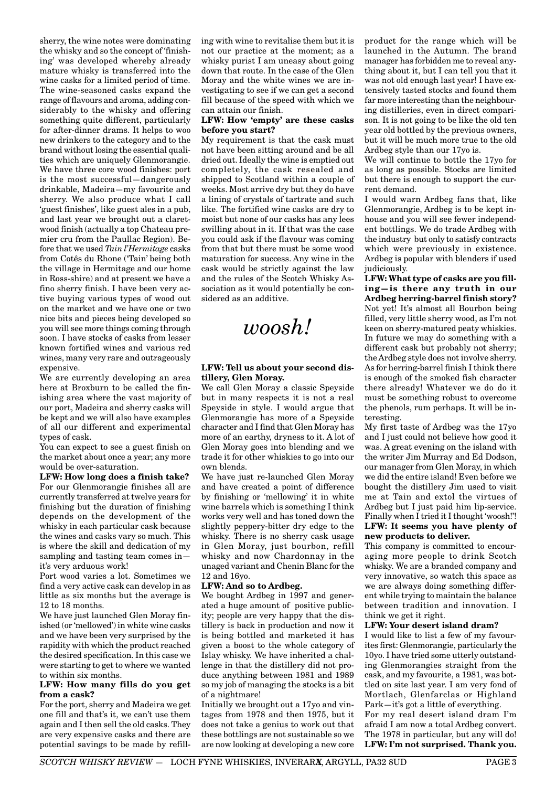sherry, the wine notes were dominating the whisky and so the concept of 'finishing' was developed whereby already mature whisky is transferred into the wine casks for a limited period of time. The wine-seasoned casks expand the range of flavours and aroma, adding considerably to the whisky and offering something quite different, particularly for after-dinner drams. It helps to woo new drinkers to the category and to the brand without losing the essential qualities which are uniquely Glenmorangie. We have three core wood finishes: port is the most successful—dangerously drinkable, Madeira—my favourite and sherry. We also produce what I call 'guest finishes', like guest ales in a pub, and last year we brought out a claretwood finish (actually a top Chateau premier cru from the Paullac Region). Before that we used *Tain l'Hermitage* casks from Cotês du Rhone ('Tain' being both the village in Hermitage and our home in Ross-shire) and at present we have a fino sherry finish. I have been very active buying various types of wood out on the market and we have one or two nice bits and pieces being developed so you will see more things coming through soon. I have stocks of casks from lesser known fortified wines and various red wines, many very rare and outrageously expensive.

We are currently developing an area here at Broxburn to be called the finishing area where the vast majority of our port, Madeira and sherry casks will be kept and we will also have examples of all our different and experimental types of cask.

You can expect to see a guest finish on the market about once a year; any more would be over-saturation.

**LFW: How long does a finish take?** For our Glenmorangie finishes all are currently transferred at twelve years for finishing but the duration of finishing depends on the development of the whisky in each particular cask because the wines and casks vary so much. This is where the skill and dedication of my sampling and tasting team comes in it's very arduous work!

Port wood varies a lot. Sometimes we find a very active cask can develop in as little as six months but the average is 12 to 18 months.

We have just launched Glen Moray finished (or 'mellowed') in white wine casks and we have been very surprised by the rapidity with which the product reached the desired specification. In this case we were starting to get to where we wanted to within six months.

#### **LFW: How many fills do you get from a cask?**

For the port, sherry and Madeira we get one fill and that's it, we can't use them again and I then sell the old casks. They are very expensive casks and there are potential savings to be made by refilling with wine to revitalise them but it is not our practice at the moment; as a whisky purist I am uneasy about going down that route. In the case of the Glen Moray and the white wines we are investigating to see if we can get a second fill because of the speed with which we can attain our finish.

#### **LFW: How 'empty' are these casks before you start?**

My requirement is that the cask must not have been sitting around and be all dried out. Ideally the wine is emptied out completely, the cask resealed and shipped to Scotland within a couple of weeks. Most arrive dry but they do have a lining of crystals of tartrate and such like. The fortified wine casks are dry to moist but none of our casks has any lees swilling about in it. If that was the case you could ask if the flavour was coming from that but there must be some wood maturation for success. Any wine in the cask would be strictly against the law and the rules of the Scotch Whisky Association as it would potentially be considered as an additive.

*woosh!*

#### **LFW: Tell us about your second distillery, Glen Moray.**

We call Glen Moray a classic Speyside but in many respects it is not a real Speyside in style. I would argue that Glenmorangie has more of a Speyside character and I find that Glen Moray has more of an earthy, dryness to it. A lot of Glen Moray goes into blending and we trade it for other whiskies to go into our own blends.

We have just re-launched Glen Moray and have created a point of difference by finishing or 'mellowing' it in white wine barrels which is something I think works very well and has toned down the slightly peppery-bitter dry edge to the whisky. There is no sherry cask usage in Glen Moray, just bourbon, refill whisky and now Chardonnay in the unaged variant and Chenin Blanc for the 12 and 16yo.

#### **LFW: And so to Ardbeg.**

We bought Ardbeg in 1997 and generated a huge amount of positive publicity; people are very happy that the distillery is back in production and now it is being bottled and marketed it has given a boost to the whole category of Islay whisky. We have inherited a challenge in that the distillery did not produce anything between 1981 and 1989 so my job of managing the stocks is a bit of a nightmare!

Initially we brought out a 17yo and vintages from 1978 and then 1975, but it does not take a genius to work out that these bottlings are not sustainable so we are now looking at developing a new core product for the range which will be launched in the Autumn. The brand manager has forbidden me to reveal anything about it, but I can tell you that it was not old enough last year! I have extensively tasted stocks and found them far more interesting than the neighbouring distilleries, even in direct comparison. It is not going to be like the old ten year old bottled by the previous owners, but it will be much more true to the old Ardbeg style than our 17yo is.

We will continue to bottle the 17yo for as long as possible. Stocks are limited but there is enough to support the current demand.

I would warn Ardbeg fans that, like Glenmorangie, Ardbeg is to be kept inhouse and you will see fewer independent bottlings. We do trade Ardbeg with the industry but only to satisfy contracts which were previously in existence. Ardbeg is popular with blenders if used judiciously.

**LFW: What type of casks are you filling—is there any truth in our Ardbeg herring-barrel finish story?** Not yet! It's almost all Bourbon being filled, very little sherry wood, as I'm not keen on sherry-matured peaty whiskies. In future we may do something with a different cask but probably not sherry; the Ardbeg style does not involve sherry. As for herring-barrel finish I think there is enough of the smoked fish character there already! Whatever we do do it must be something robust to overcome the phenols, rum perhaps. It will be interesting.

My first taste of Ardbeg was the 17yo and I just could not believe how good it was. A great evening on the island with the writer Jim Murray and Ed Dodson, our manager from Glen Moray, in which we did the entire island! Even before we bought the distillery Jim used to visit me at Tain and extol the virtues of Ardbeg but I just paid him lip-service. Finally when I tried it I thought 'woosh!'! **LFW: It seems you have plenty of new products to deliver.**

This company is committed to encouraging more people to drink Scotch whisky. We are a branded company and very innovative, so watch this space as we are always doing something different while trying to maintain the balance between tradition and innovation. I think we get it right.

#### **LFW: Your desert island dram?**

I would like to list a few of my favourites first: Glenmorangie, particularly the 10yo. I have tried some utterly outstanding Glenmorangies straight from the cask, and my favourite, a 1981, was bottled on site last year. I am very fond of Mortlach, Glenfarclas or Highland Park—it's got a little of everything. For my real desert island dram I'm afraid I am now a total Ardbeg convert. The 1978 in particular, but any will do! **LFW: I'm not surprised. Thank you.**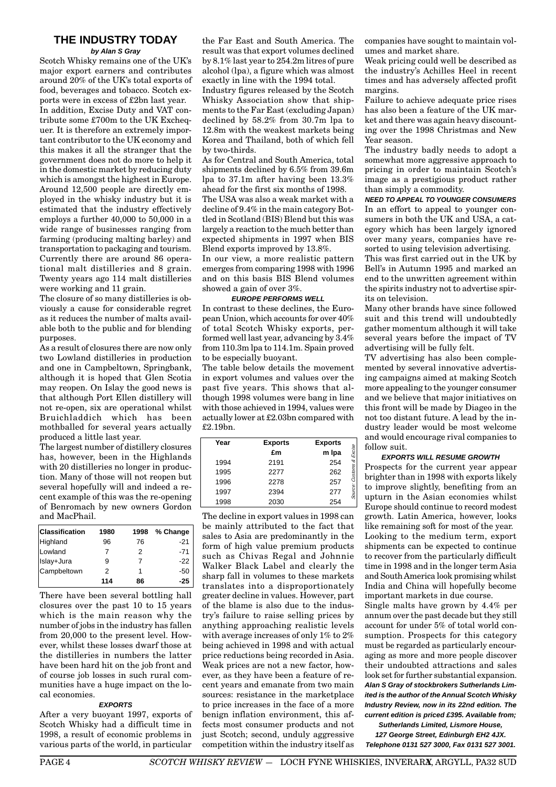## **THE INDUSTRY TODAY**

#### **by Alan S Gray**

Scotch Whisky remains one of the UK's major export earners and contributes around 20% of the UK's total exports of food, beverages and tobacco. Scotch exports were in excess of £2bn last year. In addition, Excise Duty and VAT contribute some £700m to the UK Exchequer. It is therefore an extremely important contributor to the UK economy and this makes it all the stranger that the government does not do more to help it in the domestic market by reducing duty which is amongst the highest in Europe. Around 12,500 people are directly employed in the whisky industry but it is estimated that the industry effectively employs a further 40,000 to 50,000 in a wide range of businesses ranging from farming (producing malting barley) and transportation to packaging and tourism. Currently there are around 86 operational malt distilleries and 8 grain. Twenty years ago 114 malt distilleries were working and 11 grain.

The closure of so many distilleries is obviously a cause for considerable regret as it reduces the number of malts available both to the public and for blending purposes.

As a result of closures there are now only two Lowland distilleries in production and one in Campbeltown, Springbank, although it is hoped that Glen Scotia may reopen. On Islay the good news is that although Port Ellen distillery will not re-open, six are operational whilst Bruichladdich which has been mothballed for several years actually produced a little last year.

The largest number of distillery closures has, however, been in the Highlands with 20 distilleries no longer in production. Many of those will not reopen but several hopefully will and indeed a recent example of this was the re-opening of Benromach by new owners Gordon and MacPhail.

| <b>Classification</b> | 1980 | 1998 | % Change |
|-----------------------|------|------|----------|
| Highland              | 96   | 76   | $-21$    |
| Lowland               | 7    | 2    | $-71$    |
| Islay+Jura            | 9    | 7    | -22      |
| Campbeltown           | 2    | 1    | -50      |
|                       | 114  | 86   | $-25$    |

There have been several bottling hall closures over the past 10 to 15 years which is the main reason why the number of jobs in the industry has fallen from 20,000 to the present level. However, whilst these losses dwarf those at the distilleries in numbers the latter have been hard hit on the job front and of course job losses in such rural communities have a huge impact on the local economies.

#### **EXPORTS**

After a very buoyant 1997, exports of Scotch Whisky had a difficult time in 1998, a result of economic problems in various parts of the world, in particular the Far East and South America. The result was that export volumes declined by 8.1% last year to 254.2m litres of pure alcohol (lpa), a figure which was almost exactly in line with the 1994 total.

Industry figures released by the Scotch Whisky Association show that shipments to the Far East (excluding Japan) declined by 58.2% from 30.7m lpa to 12.8m with the weakest markets being Korea and Thailand, both of which fell by two-thirds.

As for Central and South America, total shipments declined by 6.5% from 39.6m lpa to 37.1m after having been 13.3% ahead for the first six months of 1998.

The USA was also a weak market with a decline of 9.4% in the main category Bottled in Scotland (BIS) Blend but this was largely a reaction to the much better than expected shipments in 1997 when BIS Blend exports improved by 13.8%.

In our view, a more realistic pattern emerges from comparing 1998 with 1996 and on this basis BIS Blend volumes showed a gain of over 3%.

#### **EUROPE PERFORMS WELL**

In contrast to these declines, the European Union, which accounts for over 40% of total Scotch Whisky exports, performed well last year, advancing by 3.4% from 110.3m lpa to 114.1m. Spain proved to be especially buoyant.

The table below details the movement in export volumes and values over the past five years. This shows that although 1998 volumes were bang in line with those achieved in 1994, values were actually lower at £2.03bn compared with £2.19bn.

| Year | <b>Exports</b> | <b>Exports</b> |                      |
|------|----------------|----------------|----------------------|
|      | £m             | m Ipa          | Excise               |
| 1994 | 2191           | 254            |                      |
| 1995 | 2277           | 262            | <b>Zustoms &amp;</b> |
| 1996 | 2278           | 257            |                      |
| 1997 | 2394           | 277            | Source:              |
| 1998 | 2030           | 254            |                      |

The decline in export values in 1998 can be mainly attributed to the fact that sales to Asia are predominantly in the form of high value premium products such as Chivas Regal and Johnnie Walker Black Label and clearly the sharp fall in volumes to these markets translates into a disproportionately greater decline in values. However, part of the blame is also due to the industry's failure to raise selling prices by anything approaching realistic levels with average increases of only 1% to 2% being achieved in 1998 and with actual price reductions being recorded in Asia. Weak prices are not a new factor, however, as they have been a feature of recent years and emanate from two main sources: resistance in the marketplace to price increases in the face of a more benign inflation environment, this affects most consumer products and not just Scotch; second, unduly aggressive competition within the industry itself as

companies have sought to maintain volumes and market share.

Weak pricing could well be described as the industry's Achilles Heel in recent times and has adversely affected profit margins.

Failure to achieve adequate price rises has also been a feature of the UK market and there was again heavy discounting over the 1998 Christmas and New Year season.

The industry badly needs to adopt a somewhat more aggressive approach to pricing in order to maintain Scotch's image as a prestigious product rather than simply a commodity.

**NEED TO APPEAL TO YOUNGER CONSUMERS** In an effort to appeal to younger consumers in both the UK and USA, a category which has been largely ignored over many years, companies have resorted to using television advertising.

This was first carried out in the UK by Bell's in Autumn 1995 and marked an end to the unwritten agreement within the spirits industry not to advertise spirits on television.

Many other brands have since followed suit and this trend will undoubtedly gather momentum although it will take several years before the impact of TV advertising will be fully felt.

TV advertising has also been complemented by several innovative advertising campaigns aimed at making Scotch more appealing to the younger consumer and we believe that major initiatives on this front will be made by Diageo in the not too distant future. A lead by the industry leader would be most welcome and would encourage rival companies to follow suit.

#### **EXPORTS WILL RESUME GROWTH**

Prospects for the current year appear brighter than in 1998 with exports likely to improve slightly, benefiting from an upturn in the Asian economies whilst Europe should continue to record modest growth. Latin America, however, looks like remaining soft for most of the year. Looking to the medium term, export shipments can be expected to continue to recover from the particularly difficult time in 1998 and in the longer term Asia and South America look promising whilst India and China will hopefully become important markets in due course.

Single malts have grown by 4.4% per annum over the past decade but they still account for under 5% of total world consumption. Prospects for this category must be regarded as particularly encouraging as more and more people discover their undoubted attractions and sales look set for further substantial expansion. **Alan S Gray of stockbrokers Sutherlands Limited is the author of the Annual Scotch Whisky Industry Review, now in its 22nd edition. The current edition is priced £395. Available from;**

**Sutherlands Limited, Lismore House, 127 George Street, Edinburgh EH2 4JX. Telephone 0131 527 3000, Fax 0131 527 3001.**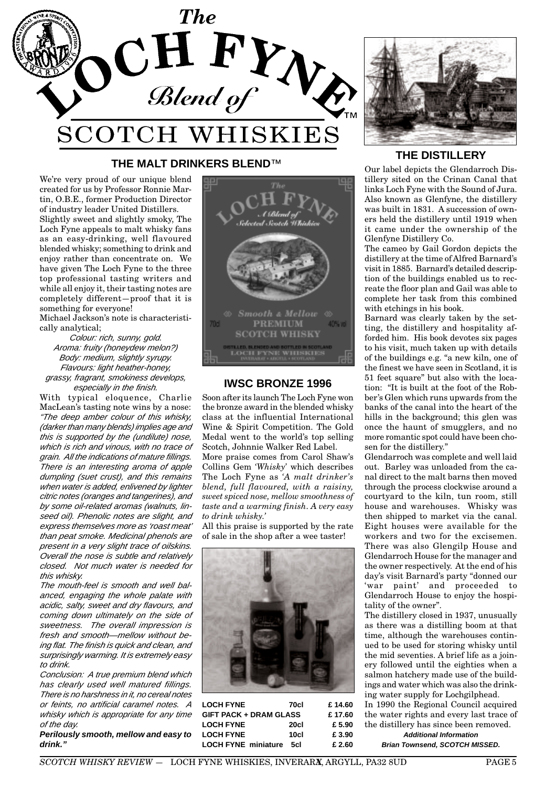

## **THE MALT DRINKERS BLEND**™

We're very proud of our unique blend created for us by Professor Ronnie Martin, O.B.E., former Production Director of industry leader United Distillers.

Slightly sweet and slightly smoky, The Loch Fyne appeals to malt whisky fans as an easy-drinking, well flavoured blended whisky; something to drink and enjoy rather than concentrate on. We have given The Loch Fyne to the three top professional tasting writers and while all enjoy it, their tasting notes are completely different—proof that it is something for everyone!

Michael Jackson's note is characteristically analytical;

Colour: rich, sunny, gold. Aroma: fruity (honeydew melon?) Body: medium, slightly syrupy. Flavours: light heather-honey, grassy, fragrant, smokiness develops, especially in the finish.

With typical eloquence, Charlie MacLean's tasting note wins by a nose: "The deep amber colour of this whisky, (darker than many blends) implies age and this is supported by the (undilute) nose, which is rich and vinous, with no trace of grain. All the indications of mature fillings. There is an interesting aroma of apple dumpling (suet crust), and this remains when water is added, enlivened by lighter citric notes (oranges and tangerines), and by some oil-related aromas (walnuts, linseed oil). Phenolic notes are slight, and express themselves more as 'roast meat' than peat smoke. Medicinal phenols are present in a very slight trace of oilskins. Overall the nose is subtle and relatively closed. Not much water is needed for this whisky.

The mouth-feel is smooth and well balanced, engaging the whole palate with acidic, salty, sweet and dry flavours, and coming down ultimately on the side of sweetness. The overall impression is fresh and smooth—mellow without being flat. The finish is quick and clean, and surprisingly warming. It is extremely easy to drink.

Conclusion: A true premium blend which has clearly used well matured fillings. There is no harshness in it, no cereal notes or feints, no artificial caramel notes. A whisky which is appropriate for any time of the day.

**Perilously smooth, mellow and easy to drink."**



## **IWSC BRONZE 1996**

Soon after its launch The Loch Fyne won the bronze award in the blended whisky class at the influential International Wine & Spirit Competition. The Gold Medal went to the world's top selling Scotch, Johnnie Walker Red Label.

More praise comes from Carol Shaw's Collins Gem *'Whisky'* which describes The Loch Fyne as *'A malt drinker's blend, full flavoured, with a raisiny, sweet spiced nose, mellow smoothness of taste and a warming finish. A very easy to drink whisky.'*

All this praise is supported by the rate of sale in the shop after a wee taster!



| <b>LOCH FYNE</b>              | 70cl | £14.60 |
|-------------------------------|------|--------|
| <b>GIFT PACK + DRAM GLASS</b> |      | £17.60 |
| <b>LOCH FYNE</b>              | 20cl | £ 5.90 |
| <b>LOCH FYNE</b>              | 10cl | £ 3.90 |
| <b>LOCH FYNE miniature</b>    | 5cl  | £ 2.60 |



## **THE DISTILLERY**

Our label depicts the Glendarroch Distillery sited on the Crinan Canal that links Loch Fyne with the Sound of Jura. Also known as Glenfyne, the distillery was built in 1831. A succession of owners held the distillery until 1919 when it came under the ownership of the Glenfyne Distillery Co.

The cameo by Gail Gordon depicts the distillery at the time of Alfred Barnard's visit in 1885. Barnard's detailed description of the buildings enabled us to recreate the floor plan and Gail was able to complete her task from this combined with etchings in his book.

Barnard was clearly taken by the setting, the distillery and hospitality afforded him. His book devotes six pages to his visit, much taken up with details of the buildings e.g. "a new kiln, one of the finest we have seen in Scotland, it is 51 feet square" but also with the location: "It is built at the foot of the Robber's Glen which runs upwards from the banks of the canal into the heart of the hills in the background; this glen was once the haunt of smugglers, and no more romantic spot could have been chosen for the distillery."

Glendarroch was complete and well laid out. Barley was unloaded from the canal direct to the malt barns then moved through the process clockwise around a courtyard to the kiln, tun room, still house and warehouses. Whisky was then shipped to market via the canal. Eight houses were available for the workers and two for the excisemen. There was also Glengilp House and Glendarroch House for the manager and the owner respectively. At the end of his day's visit Barnard's party "donned our 'war paint' and proceeded to Glendarroch House to enjoy the hospitality of the owner".

The distillery closed in 1937, unusually as there was a distilling boom at that time, although the warehouses continued to be used for storing whisky until the mid seventies. A brief life as a joinery followed until the eighties when a salmon hatchery made use of the buildings and water which was also the drinking water supply for Lochgilphead.

In 1990 the Regional Council acquired the water rights and every last trace of the distillery has since been removed. **Additional Information**

**Brian Townsend, SCOTCH MISSED.**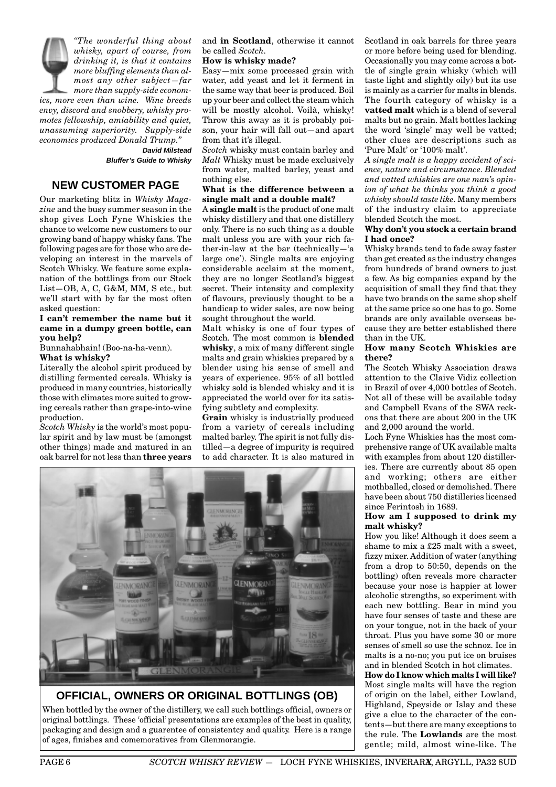

**Bluffer's Guide to Whisky**

## **NEW CUSTOMER PAGE**

Our marketing blitz in *Whisky Magazine* and the busy summer season in the shop gives Loch Fyne Whiskies the chance to welcome new customers to our growing band of happy whisky fans. The following pages are for those who are developing an interest in the marvels of Scotch Whisky. We feature some explanation of the bottlings from our Stock List—OB, A, C, G&M, MM, S etc., but we'll start with by far the most often asked question:

#### **I can't remember the name but it came in a dumpy green bottle, can you help?**

Bunnahabhain! (Boo-na-ha-venn).

**What is whisky?**

Literally the alcohol spirit produced by distilling fermented cereals. Whisky is produced in many countries, historically those with climates more suited to growing cereals rather than grape-into-wine production.

*Scotch Whisky* is the world's most popular spirit and by law must be (amongst other things) made and matured in an oak barrel for not less than **three years** and **in Scotland**, otherwise it cannot be called *Scotch.*

#### **How is whisky made?**

Easy—mix some processed grain with water, add yeast and let it ferment in the same way that beer is produced. Boil up your beer and collect the steam which will be mostly alcohol. Voilà, whisky! Throw this away as it is probably poison, your hair will fall out—and apart from that it's illegal.

*Scotch* whisky must contain barley and *Malt* Whisky must be made exclusively from water, malted barley, yeast and nothing else.

#### **What is the difference between a single malt and a double malt?**

A **single malt** is the product of one malt whisky distillery and that one distillery only. There is no such thing as a double malt unless you are with your rich father-in-law at the bar (technically—'a large one'). Single malts are enjoying considerable acclaim at the moment, they are no longer Scotland's biggest secret. Their intensity and complexity of flavours, previously thought to be a handicap to wider sales, are now being sought throughout the world.

Malt whisky is one of four types of Scotch. The most common is **blended whisky**, a mix of many different single malts and grain whiskies prepared by a blender using his sense of smell and years of experience. 95% of all bottled whisky sold is blended whisky and it is appreciated the world over for its satisfying subtlety and complexity.

**Grain** whisky is industrially produced from a variety of cereals including malted barley. The spirit is not fully distilled—a degree of impurity is required to add character. It is also matured in



**OFFICIAL, OWNERS OR ORIGINAL BOTTLINGS (OB)** When bottled by the owner of the distillery, we call such bottlings official, owners or original bottlings. These 'official' presentations are examples of the best in quality, packaging and design and a guarentee of consistentcy and quality. Here is a range of ages, finishes and comemoratives from Glenmorangie.

Scotland in oak barrels for three years or more before being used for blending. Occasionally you may come across a bottle of single grain whisky (which will taste light and slightly oily) but its use is mainly as a carrier for malts in blends. The fourth category of whisky is a **vatted malt** which is a blend of several malts but no grain. Malt bottles lacking the word 'single' may well be vatted; other clues are descriptions such as 'Pure Malt' or '100% malt'.

*A single malt is a happy accident of science, nature and circumstance. Blended and vatted whiskies are one man's opinion of what he thinks you think a good whisky should taste like.* Many members of the industry claim to appreciate blended Scotch the most.

#### **Why don't you stock a certain brand I had once?**

Whisky brands tend to fade away faster than get created as the industry changes from hundreds of brand owners to just a few. As big companies expand by the acquisition of small they find that they have two brands on the same shop shelf at the same price so one has to go. Some brands are only available overseas because they are better established there than in the UK.

#### **How many Scotch Whiskies are there?**

The Scotch Whisky Association draws attention to the Claive Vidiz collection in Brazil of over 4,000 bottles of Scotch. Not all of these will be available today and Campbell Evans of the SWA reckons that there are about 200 in the UK and 2,000 around the world.

Loch Fyne Whiskies has the most comprehensive range of UK available malts with examples from about 120 distilleries. There are currently about 85 open and working; others are either mothballed, closed or demolished. There have been about 750 distilleries licensed since Ferintosh in 1689.

#### **How am I supposed to drink my malt whisky?**

How you like! Although it does seem a shame to mix a £25 malt with a sweet, fizzy mixer. Addition of water (anything from a drop to 50:50, depends on the bottling) often reveals more character because your nose is happier at lower alcoholic strengths, so experiment with each new bottling. Bear in mind you have four senses of taste and these are on your tongue, not in the back of your throat. Plus you have some 30 or more senses of smell so use the schnoz. Ice in malts is a no-no; you put ice on bruises and in blended Scotch in hot climates. **How do I know which malts I will like?** Most single malts will have the region of origin on the label, either Lowland, Highland, Speyside or Islay and these give a clue to the character of the contents—but there are many exceptions to

the rule. The **Lowlands** are the most gentle; mild, almost wine-like. The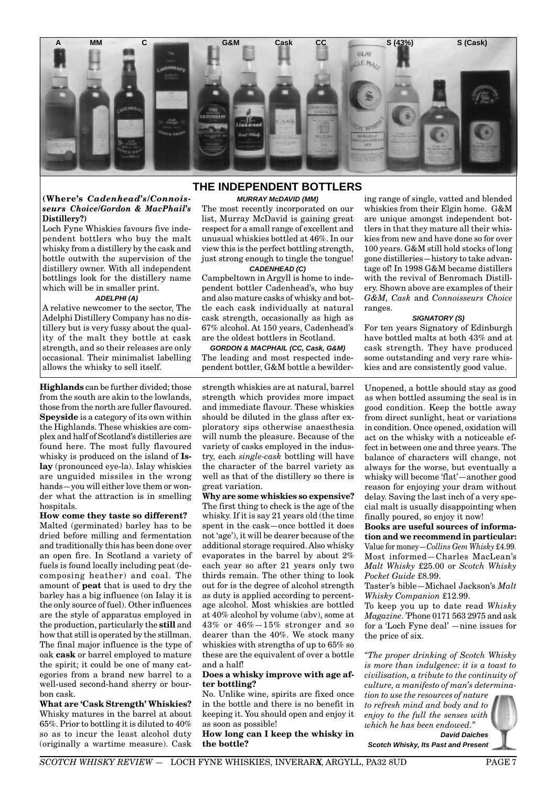

#### **(Where's** *Cadenhead's/Connoisseurs Choice/Gordon & MacPhail's* **Distillery?)**

Loch Fyne Whiskies favours five independent bottlers who buy the malt whisky from a distillery by the cask and bottle outwith the supervision of the distillery owner. With all independent bottlings look for the distillery name which will be in smaller print.

#### **ADELPHI (A)**

A relative newcomer to the sector, The Adelphi Distillery Company has no distillery but is very fussy about the quality of the malt they bottle at cask strength, and so their releases are only occasional. Their minimalist labelling allows the whisky to sell itself.

**Highlands** can be further divided; those from the south are akin to the lowlands, those from the north are fuller flavoured. **Speyside** is a category of its own within the Highlands. These whiskies are complex and half of Scotland's distilleries are found here. The most fully flavoured whisky is produced on the island of **Islay** (pronounced eye-la). Islay whiskies are unguided missiles in the wrong hands—you will either love them or wonder what the attraction is in smelling hospitals.

### **How come they taste so different?**

Malted (germinated) barley has to be dried before milling and fermentation and traditionally this has been done over an open fire. In Scotland a variety of fuels is found locally including peat (decomposing heather) and coal. The amount of **peat** that is used to dry the barley has a big influence (on Islay it is the only source of fuel). Other influences are the style of apparatus employed in the production, particularly the **still** and how that still is operated by the stillman. The final major influence is the type of oak **cask** or barrel employed to mature the spirit; it could be one of many categories from a brand new barrel to a well-used second-hand sherry or bourbon cask.

**What are 'Cask Strength' Whiskies?** Whisky matures in the barrel at about 65%. Prior to bottling it is diluted to 40% so as to incur the least alcohol duty (originally a wartime measure). Cask

## **THE INDEPENDENT BOTTLERS**

#### **MURRAY McDAVID (MM)**

The most recently incorporated on our list, Murray McDavid is gaining great respect for a small range of excellent and unusual whiskies bottled at 46%. In our view this is the perfect bottling strength, just strong enough to tingle the tongue! **CADENHEAD (C)**

Campbeltown in Argyll is home to independent bottler Cadenhead's, who buy and also mature casks of whisky and bottle each cask individually at natural cask strength, occasionally as high as 67% alcohol. At 150 years, Cadenhead's are the oldest bottlers in Scotland.

**GORDON & MACPHAIL (CC, Cask, G&M)** The leading and most respected independent bottler, G&M bottle a bewilder-

strength whiskies are at natural, barrel strength which provides more impact and immediate flavour. These whiskies should be diluted in the glass after exploratory sips otherwise anaesthesia will numb the pleasure. Because of the variety of casks employed in the industry, each *single-cask* bottling will have the character of the barrel variety as well as that of the distillery so there is great variation.

**Why are some whiskies so expensive?** The first thing to check is the age of the whisky. If it is say 21 years old (the time spent in the cask—once bottled it does not 'age'), it will be dearer because of the additional storage required. Also whisky evaporates in the barrel by about 2% each year so after 21 years only two thirds remain. The other thing to look out for is the degree of alcohol strength as duty is applied according to percentage alcohol. Most whiskies are bottled at 40% alcohol by volume (abv), some at 43% or 46%—15% stronger and so dearer than the 40%. We stock many whiskies with strengths of up to 65% so these are the equivalent of over a bottle and a half!

#### **Does a whisky improve with age after bottling?**

No. Unlike wine, spirits are fixed once in the bottle and there is no benefit in keeping it. You should open and enjoy it as soon as possible!

**How long can I keep the whisky in the bottle?**

ing range of single, vatted and blended whiskies from their Elgin home. G&M are unique amongst independent bottlers in that they mature all their whiskies from new and have done so for over 100 years. G&M still hold stocks of long gone distilleries—history to take advantage of! In 1998 G&M became distillers with the revival of Benromach Distillery. Shown above are examples of their *G&M, Cask* and *Connoisseurs Choice* ranges.

#### **SIGNATORY (S)**

For ten years Signatory of Edinburgh have bottled malts at both 43% and at cask strength. They have produced some outstanding and very rare whiskies and are consistently good value.

Unopened, a bottle should stay as good as when bottled assuming the seal is in good condition. Keep the bottle away from direct sunlight, heat or variations in condition. Once opened, oxidation will act on the whisky with a noticeable effect in between one and three years. The balance of characters will change, not always for the worse, but eventually a whisky will become 'flat'—another good reason for enjoying your dram without delay. Saving the last inch of a very special malt is usually disappointing when finally poured, so enjoy it now!

**Books are useful sources of information and we recommend in particular:** Value for money—*Collins Gem Whisky* £4.99. Most informed—Charles MacLean's *Malt Whisky* £25.00 or *Scotch Whisky Pocket Guide* £8.99.

Taster's bible—Michael Jackson's *Malt Whisky Companion* £12.99.

To keep you up to date read *Whisky Magazine*. 'Phone 0171 563 2975 and ask for a 'Loch Fyne deal' —nine issues for the price of six.

*"The proper drinking of Scotch Whisky is more than indulgence: it is a toast to civilisation, a tribute to the continuity of culture, a manifesto of man's determina-*

*tion to use the resources of nature to refresh mind and body and to enjoy to the full the senses with which he has been endowed."*



**Scotch Whisky, Its Past and Present**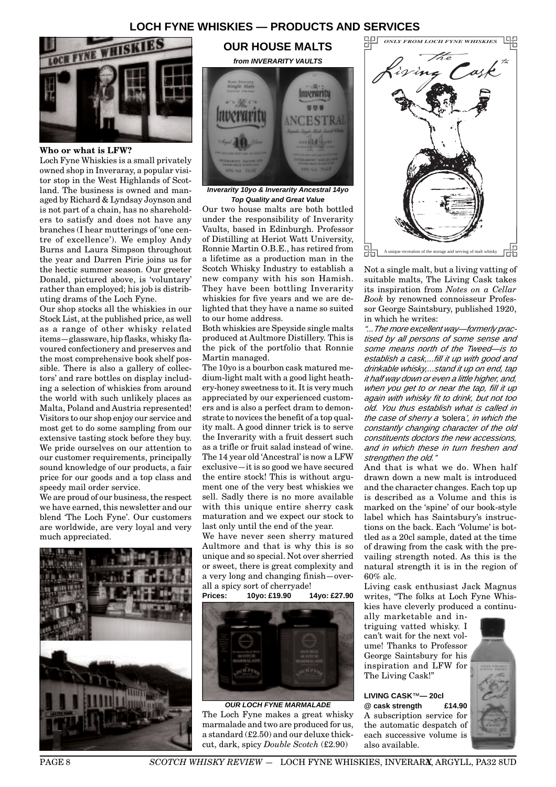## **LOCH FYNE WHISKIES — PRODUCTS AND SERVICES**



#### **Who or what is LFW?**

Loch Fyne Whiskies is a small privately owned shop in Inveraray, a popular visitor stop in the West Highlands of Scotland. The business is owned and managed by Richard & Lyndsay Joynson and is not part of a chain, has no shareholders to satisfy and does not have any branches (I hear mutterings of 'one centre of excellence'). We employ Andy Burns and Laura Simpson throughout the year and Darren Pirie joins us for the hectic summer season. Our greeter Donald, pictured above, is 'voluntary' rather than employed; his job is distributing drams of the Loch Fyne.

Our shop stocks all the whiskies in our Stock List, at the published price, as well as a range of other whisky related items—glassware, hip flasks, whisky flavoured confectionery and preserves and the most comprehensive book shelf possible. There is also a gallery of collectors' and rare bottles on display including a selection of whiskies from around the world with such unlikely places as Malta, Poland and Austria represented! Visitors to our shop enjoy our service and most get to do some sampling from our extensive tasting stock before they buy. We pride ourselves on our attention to our customer requirements, principally sound knowledge of our products, a fair price for our goods and a top class and speedy mail order service.

We are proud of our business, the respect we have earned, this newsletter and our blend 'The Loch Fyne'. Our customers are worldwide, are very loyal and very much appreciated.



## **OUR HOUSE MALTS from INVERARITY VAULTS**



**Inverarity 10yo & Inverarity Ancestral 14yo Top Quality and Great Value**

Our two house malts are both bottled under the responsibility of Inverarity Vaults, based in Edinburgh. Professor of Distilling at Heriot Watt University, Ronnie Martin O.B.E., has retired from a lifetime as a production man in the Scotch Whisky Industry to establish a new company with his son Hamish. They have been bottling Inverarity whiskies for five years and we are delighted that they have a name so suited to our home address.

Both whiskies are Speyside single malts produced at Aultmore Distillery. This is the pick of the portfolio that Ronnie Martin managed.

The 10yo is a bourbon cask matured medium-light malt with a good light heathery-honey sweetness to it. It is very much appreciated by our experienced customers and is also a perfect dram to demonstrate to novices the benefit of a top quality malt. A good dinner trick is to serve the Inverarity with a fruit dessert such as a trifle or fruit salad instead of wine. The 14 year old 'Ancestral' is now a LFW exclusive—it is so good we have secured the entire stock! This is without argument one of the very best whiskies we sell. Sadly there is no more available with this unique entire sherry cask maturation and we expect our stock to last only until the end of the year.

We have never seen sherry matured Aultmore and that is why this is so unique and so special. Not over sherried or sweet, there is great complexity and a very long and changing finish—overall a spicy sort of cherryade!

**Prices: 10yo: £19.90 14yo: £27.90**



**OUR LOCH FYNE MARMALADE** The Loch Fyne makes a great whisky marmalade and two are produced for us, a standard (£2.50) and our deluxe thickcut, dark, spicy *Double Scotch* (£2.90)



Not a single malt, but a living vatting of suitable malts, The Living Cask takes its inspiration from *Notes on a Cellar Book* by renowned connoisseur Professor George Saintsbury, published 1920, in which he writes:

"...The more excellent way—formerly practised by all persons of some sense and some means north of the Tweed—is to establish a cask,...fill it up with good and drinkable whisky,...stand it up on end, tap it half way down or even a little higher, and, when you get to or near the tap, fill it up again with whisky fit to drink, but not too old. You thus establish what is called in the case of sherry a 'solera', in which the constantly changing character of the old constituents doctors the new accessions, and in which these in turn freshen and strengthen the old."

And that is what we do. When half drawn down a new malt is introduced and the character changes. Each top up is described as a Volume and this is marked on the 'spine' of our book-style label which has Saintsbury's instructions on the back. Each 'Volume' is bottled as a 20cl sample, dated at the time of drawing from the cask with the prevailing strength noted. As this is the natural strength it is in the region of 60% alc.

Living cask enthusiast Jack Magnus writes, "The folks at Loch Fyne Whiskies have cleverly produced a continu-

ally marketable and intriguing vatted whisky. I can't wait for the next volume! Thanks to Professor George Saintsbury for his inspiration and LFW for The Living Cask!"

**LIVING CASK**™**— 20cl @ cask strength £14.90** A subscription service for the automatic despatch of each successive volume is also available.

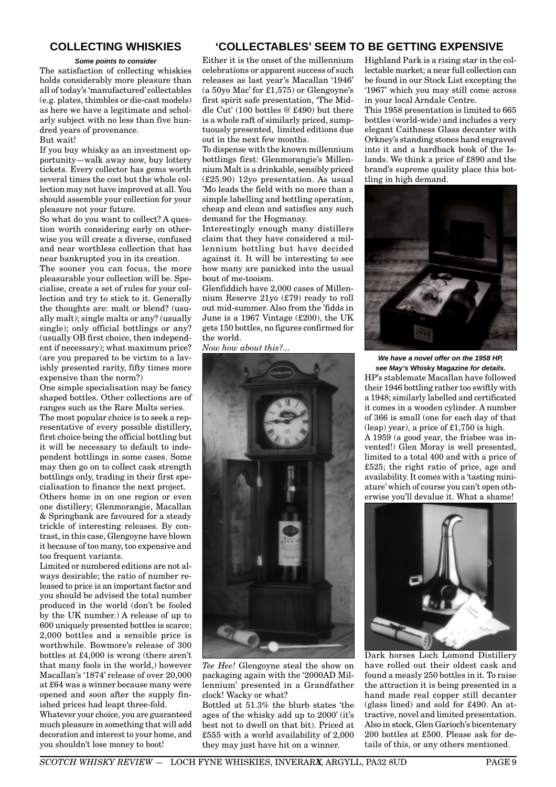## **COLLECTING WHISKIES**

#### **Some points to consider**

The satisfaction of collecting whiskies holds considerably more pleasure than all of today's 'manufactured' collectables (e.g. plates, thimbles or die-cast models) as here we have a legitimate and scholarly subject with no less than five hundred years of provenance.

#### But wait!

If you buy whisky as an investment opportunity—walk away now, buy lottery tickets. Every collector has gems worth several times the cost but the whole collection may not have improved at all. You should assemble your collection for your pleasure not your future.

So what do you want to collect? A question worth considering early on otherwise you will create a diverse, confused and near worthless collection that has near bankrupted you in its creation.

The sooner you can focus, the more pleasurable your collection will be. Specialise, create a set of rules for your collection and try to stick to it. Generally the thoughts are: malt or blend? (usually malt); single malts or any? (usually single); only official bottlings or any? (usually OB first choice, then independent if necessary); what maximum price? (are you prepared to be victim to a lavishly presented rarity, fifty times more expensive than the norm?)

One simple specialisation may be fancy shaped bottles. Other collections are of ranges such as the Rare Malts series.

The most popular choice is to seek a representative of every possible distillery, first choice being the official bottling but it will be necessary to default to independent bottlings in some cases. Some may then go on to collect cask strength bottlings only, trading in their first specialisation to finance the next project.

Others home in on one region or even one distillery; Glenmorangie, Macallan & Springbank are favoured for a steady trickle of interesting releases. By contrast, in this case, Glengoyne have blown it because of too many, too expensive and too frequent variants.

Limited or numbered editions are not always desirable; the ratio of number released to price is an important factor and you should be advised the total number produced in the world (don't be fooled by the UK number.) A release of up to 600 uniquely presented bottles is scarce; 2,000 bottles and a sensible price is worthwhile. Bowmore's release of 300 bottles at £4,000 is wrong (there aren't that many fools in the world,) however Macallan's '1874' release of over 20,000 at £64 was a winner because many were opened and soon after the supply finished prices had leapt three-fold.

Whatever your choice, you are guaranteed much pleasure in something that will add decoration and interest to your home, and you shouldn't lose money to boot!

## **'COLLECTABLES' SEEM TO BE GETTING EXPENSIVE**

Either it is the onset of the millennium celebrations or apparent success of such releases as last year's Macallan '1946' (a 50yo Mac' for £1,575) or Glengoyne's first spirit safe presentation, 'The Middle Cut' (100 bottles @ £490) but there is a whole raft of similarly priced, sumptuously presented, limited editions due out in the next few months.

To dispense with the known millennium bottlings first: Glenmorangie's Millennium Malt is a drinkable, sensibly priced (£25.90) 12yo presentation. As usual 'Mo leads the field with no more than a simple labelling and bottling operation, cheap and clean and satisfies any such demand for the Hogmanay.

Interestingly enough many distillers claim that they have considered a millennium bottling but have decided against it. It will be interesting to see how many are panicked into the usual bout of me-tooism.

Glenfiddich have 2,000 cases of Millennium Reserve 21yo (£79) ready to roll out mid-summer. Also from the 'fidds in June is a 1967 Vintage (£200), the UK gets 150 bottles, no figures confirmed for the world.

*Now how about this?...*



*Tee Hee!* Glengoyne steal the show on packaging again with the '2000AD Millennium' presented in a Grandfather clock! Wacky or what?

Bottled at 51.3% the blurb states 'the ages of the whisky add up to 2000' (it's best not to dwell on that bit). Priced at £555 with a world availability of 2,000 they may just have hit on a winner.

Highland Park is a rising star in the collectable market; a near full collection can be found in our Stock List excepting the '1967' which you may still come across in your local Arndale Centre.

This 1958 presentation is limited to 665 bottles (world-wide) and includes a very elegant Caithness Glass decanter with Orkney's standing stones hand engraved into it and a hardback book of the Islands. We think a price of £890 and the brand's supreme quality place this bottling in high demand.



**We have a novel offer on the 1958 HP, see May's Whisky Magazine for details.** HP's stablemate Macallan have followed their 1946 bottling rather too swiftly with a 1948; similarly labelled and certificated it comes in a wooden cylinder. A number of 366 is small (one for each day of that  $($ leap) year), a price of £1,750 is high. A 1959 (a good year, the frisbee was invented!) Glen Moray is well presented, limited to a total 400 and with a price of

£525; the right ratio of price, age and availability. It comes with a 'tasting miniature' which of course you can't open otherwise you'll devalue it. What a shame!



Dark horses Loch Lomond Distillery have rolled out their oldest cask and found a measly 250 bottles in it. To raise the attraction it is being presented in a hand made real copper still decanter (glass lined) and sold for £490. An attractive, novel and limited presentation. Also in stock, Glen Garioch's bicentenary 200 bottles at £500. Please ask for details of this, or any others mentioned.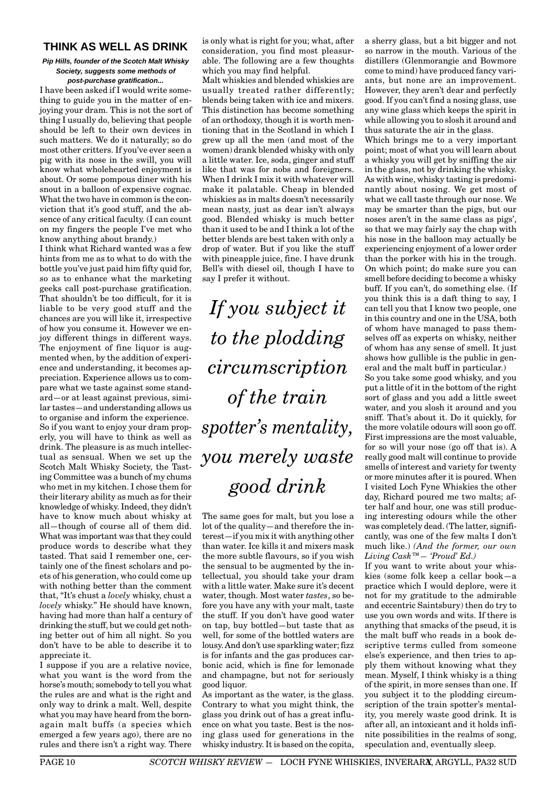## **THINK AS WELL AS DRINK**

#### **Pip Hills, founder of the Scotch Malt Whisky Society, suggests some methods of post-purchase gratification...**

I have been asked if I would write something to guide you in the matter of enjoying your dram. This is not the sort of thing I usually do, believing that people should be left to their own devices in such matters. We do it naturally; so do most other critters. If you've ever seen a pig with its nose in the swill, you will know what wholehearted enjoyment is about. Or some pompous diner with his snout in a balloon of expensive cognac. What the two have in common is the conviction that it's good stuff, and the absence of any critical faculty. (I can count on my fingers the people I've met who know anything about brandy.)

I think what Richard wanted was a few hints from me as to what to do with the bottle you've just paid him fifty quid for, so as to enhance what the marketing geeks call post-purchase gratification. That shouldn't be too difficult, for it is liable to be very good stuff and the chances are you will like it, irrespective of how you consume it. However we enjoy different things in different ways. The enjoyment of fine liquor is augmented when, by the addition of experience and understanding, it becomes appreciation. Experience allows us to compare what we taste against some standard—or at least against previous, similar tastes—and understanding allows us to organise and inform the experience. So if you want to enjoy your dram properly, you will have to think as well as drink. The pleasure is as much intellectual as sensual. When we set up the Scotch Malt Whisky Society, the Tasting Committee was a bunch of my chums who met in my kitchen. I chose them for their literary ability as much as for their knowledge of whisky. Indeed, they didn't have to know much about whisky at all—though of course all of them did. What was important was that they could produce words to describe what they tasted. That said I remember one, certainly one of the finest scholars and poets of his generation, who could come up with nothing better than the comment that, "It's chust a *lovely* whisky, chust a *lovely* whisky." He should have known, having had more than half a century of drinking the stuff, but we could get nothing better out of him all night. So you don't have to be able to describe it to appreciate it.

I suppose if you are a relative novice, what you want is the word from the horse's mouth; somebody to tell you what the rules are and what is the right and only way to drink a malt. Well, despite what you may have heard from the bornagain malt buffs (a species which emerged a few years ago), there are no rules and there isn't a right way. There is only what is right for you; what, after consideration, you find most pleasurable. The following are a few thoughts which you may find helpful.

Malt whiskies and blended whiskies are usually treated rather differently; blends being taken with ice and mixers. This distinction has become something of an orthodoxy, though it is worth mentioning that in the Scotland in which I grew up all the men (and most of the women) drank blended whisky with only a little water. Ice, soda, ginger and stuff like that was for nobs and foreigners. When I drink I mix it with whatever will make it palatable. Cheap in blended whiskies as in malts doesn't necessarily mean nasty, just as dear isn't always good. Blended whisky is much better than it used to be and I think a lot of the better blends are best taken with only a drop of water. But if you like the stuff with pineapple juice, fine. I have drunk Bell's with diesel oil, though I have to say I prefer it without.

*If you subject it to the plodding circumscription of the train spotter's mentality, you merely waste good drink*

The same goes for malt, but you lose a lot of the quality—and therefore the interest—if you mix it with anything other than water. Ice kills it and mixers mask the more subtle flavours, so if you wish the sensual to be augmented by the intellectual, you should take your dram with a little water. Make sure it's decent water, though. Most water *tastes*, so before you have any with your malt, taste the stuff. If you don't have good water on tap, buy bottled—but taste that as well, for some of the bottled waters are lousy. And don't use sparkling water; fizz is for infants and the gas produces carbonic acid, which is fine for lemonade and champagne, but not for seriously good liquor.

As important as the water, is the glass. Contrary to what you might think, the glass you drink out of has a great influence on what you taste. Best is the nosing glass used for generations in the whisky industry. It is based on the copita, a sherry glass, but a bit bigger and not so narrow in the mouth. Various of the distillers (Glenmorangie and Bowmore come to mind) have produced fancy variants, but none are an improvement. However, they aren't dear and perfectly good. If you can't find a nosing glass, use any wine glass which keeps the spirit in while allowing you to slosh it around and thus saturate the air in the glass.

Which brings me to a very important point; most of what you will learn about a whisky you will get by sniffing the air in the glass, not by drinking the whisky. As with wine, whisky tasting is predominantly about nosing. We get most of what we call taste through our nose. We may be smarter than the pigs, but our noses aren't in the same class as pigs', so that we may fairly say the chap with his nose in the balloon may actually be experiencing enjoyment of a lower order than the porker with his in the trough. On which point; do make sure you can smell before deciding to become a whisky buff. If you can't, do something else. (If you think this is a daft thing to say, I can tell you that I know two people, one in this country and one in the USA, both of whom have managed to pass themselves off as experts on whisky, neither of whom has any sense of smell. It just shows how gullible is the public in general and the malt buff in particular.)

So you take some good whisky, and you put a little of it in the bottom of the right sort of glass and you add a little sweet water, and you slosh it around and you sniff. That's about it. Do it quickly, for the more volatile odours will soon go off. First impressions are the most valuable, for so will your nose (go off that is). A really good malt will continue to provide smells of interest and variety for twenty or more minutes after it is poured. When I visited Loch Fyne Whiskies the other day, Richard poured me two malts; after half and hour, one was still producing interesting odours while the other was completely dead. (The latter, significantly, was one of the few malts I don't much like.) *(And the former, our own Living Cask™— 'Proud' Ed.)*

If you want to write about your whiskies (some folk keep a cellar book—a practice which I would deplore, were it not for my gratitude to the admirable and eccentric Saintsbury) then do try to use you own words and wits. If there is anything that smacks of the pseud, it is the malt buff who reads in a book descriptive terms culled from someone else's experience, and then tries to apply them without knowing what they mean. Myself, I think whisky is a thing of the spirit, in more senses than one. If you subject it to the plodding circumscription of the train spotter's mentality, you merely waste good drink. It is after all, an intoxicant and it holds infinite possibilities in the realms of song, speculation and, eventually sleep.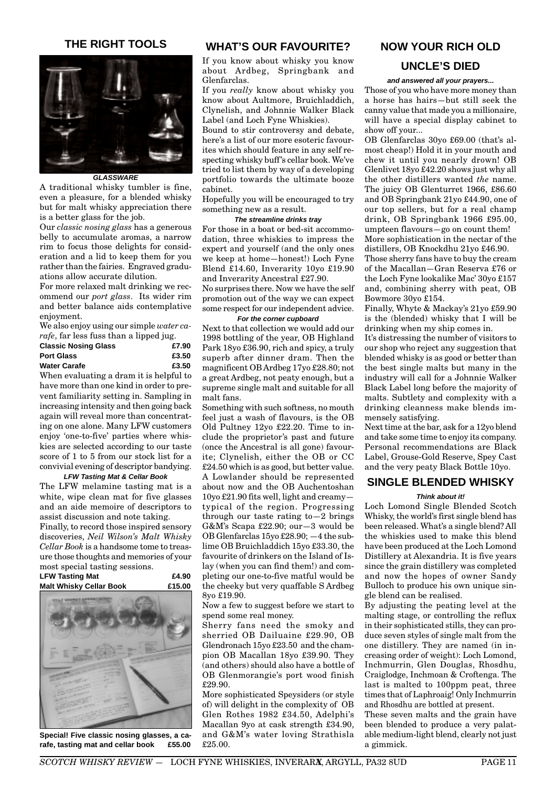## **THE RIGHT TOOLS**



**GLASSWARE**

A traditional whisky tumbler is fine, even a pleasure, for a blended whisky but for malt whisky appreciation there is a better glass for the job.

Our *classic nosing glass* has a generous belly to accumulate aromas, a narrow rim to focus those delights for consideration and a lid to keep them for you rather than the fairies. Engraved graduations allow accurate dilution.

For more relaxed malt drinking we recommend our *port glass*. Its wider rim and better balance aids contemplative enjoyment.

We also enjoy using our simple *water carafe*, far less fuss than a lipped jug.

| <b>Classic Nosing Glass</b> |  |  |  | £7.90        |
|-----------------------------|--|--|--|--------------|
| <b>Port Glass</b>           |  |  |  | £3.50        |
| <b>Water Carafe</b>         |  |  |  | £3.50        |
| ----                        |  |  |  | $\mathbf{a}$ |

When evaluating a dram it is helpful to have more than one kind in order to prevent familiarity setting in. Sampling in increasing intensity and then going back again will reveal more than concentrating on one alone. Many LFW customers enjoy 'one-to-five' parties where whiskies are selected according to our taste score of 1 to 5 from our stock list for a convivial evening of descriptor bandying.

#### **LFW Tasting Mat & Cellar Book**

The LFW melamine tasting mat is a white, wipe clean mat for five glasses and an aide memoire of descriptors to assist discussion and note taking.

Finally, to record those inspired sensory discoveries, *Neil Wilson's Malt Whisky Cellar Book* is a handsome tome to treasure those thoughts and memories of your most special tasting sessions.

| <b>LFW Tasting Mat</b>         | £4.90  |
|--------------------------------|--------|
| <b>Malt Whisky Cellar Book</b> | £15.00 |
|                                |        |



**Special! Five classic nosing glasses, a carafe, tasting mat and cellar book £55.00**

## **WHAT'S OUR FAVOURITE?**

If you know about whisky you know about Ardbeg, Springbank and Glenfarclas.

If you *really* know about whisky you know about Aultmore, Bruichladdich, Clynelish, and Johnnie Walker Black Label (and Loch Fyne Whiskies).

Bound to stir controversy and debate, here's a list of our more esoteric favourites which should feature in any self respecting whisky buff's cellar book. We've tried to list them by way of a developing portfolio towards the ultimate booze cabinet.

Hopefully you will be encouraged to try something new as a result.

#### **The streamline drinks tray**

For those in a boat or bed-sit accommodation, three whiskies to impress the expert and yourself (and the only ones we keep at home—honest!) Loch Fyne Blend £14.60, Inverarity 10yo £19.90 and Inverarity Ancestral £27.90.

No surprises there. Now we have the self promotion out of the way we can expect some respect for our independent advice.

#### **For the corner cupboard**

Next to that collection we would add our 1998 bottling of the year, OB Highland Park 18yo £36.90, rich and spicy, a truly superb after dinner dram. Then the magnificent OB Ardbeg 17yo £28.80; not a great Ardbeg, not peaty enough, but a supreme single malt and suitable for all malt fans.

Something with such softness, no mouth feel just a wash of flavours, is the OB Old Pultney 12yo £22.20. Time to include the proprietor's past and future (once the Ancestral is all gone) favourite; Clynelish, either the OB or CC £24.50 which is as good, but better value. A Lowlander should be represented about now and the OB Auchentoshan 10yo £21.90 fits well, light and creamy typical of the region. Progressing through our taste rating to $-2$  brings G&M's Scapa £22.90; our—3 would be OB Glenfarclas 15yo £28.90; —4 the sublime OB Bruichladdich 15yo £33.30, the favourite of drinkers on the Island of Islay (when you can find them!) and completing our one-to-five matful would be the cheeky but very quaffable S Ardbeg 8yo £19.90.

Now a few to suggest before we start to spend some real money.

Sherry fans need the smoky and sherried OB Dailuaine £29.90, OB Glendronach 15yo £23.50 and the champion OB Macallan 18yo £39.90. They (and others) should also have a bottle of OB Glenmorangie's port wood finish £29.90.

More sophisticated Speysiders (or style of) will delight in the complexity of OB Glen Rothes 1982 £34.50, Adelphi's Macallan 9yo at cask strength £34.90, and G&M's water loving Strathisla £25.00.

## **NOW YOUR RICH OLD**

## **UNCLE'S DIED**

#### **and answered all your prayers...**

Those of you who have more money than a horse has hairs—but still seek the canny value that made you a millionaire, will have a special display cabinet to show off your...

OB Glenfarclas 30yo £69.00 (that's almost cheap!) Hold it in your mouth and chew it until you nearly drown! OB Glenlivet 18yo £42.20 shows just why all the other distillers wanted *the* name. The juicy OB Glenturret 1966, £86.60 and OB Springbank 21yo £44.90, one of our top sellers, but for a real champ drink, OB Springbank 1966 £95.00, umpteen flavours—go on count them! More sophistication in the nectar of the distillers, OB Knockdhu 21yo £46.90.

Those sherry fans have to buy the cream of the Macallan—Gran Reserva £76 or the Loch Fyne lookalike Mac' 30yo £157 and, combining sherry with peat, OB Bowmore 30yo £154.

Finally, Whyte & Mackay's 21yo £59.90 is the (blended) whisky that I will be drinking when my ship comes in.

It's distressing the number of visitors to our shop who reject any suggestion that blended whisky is as good or better than the best single malts but many in the industry will call for a Johnnie Walker Black Label long before the majority of malts. Subtlety and complexity with a drinking cleanness make blends immensely satisfying.

Next time at the bar, ask for a 12yo blend and take some time to enjoy its company. Personal recommendations are Black Label, Grouse-Gold Reserve, Spey Cast and the very peaty Black Bottle 10yo.

## **SINGLE BLENDED WHISKY**

#### **Think about it!**

Loch Lomond Single Blended Scotch Whisky, the world's first single blend has been released. What's a single blend? All the whiskies used to make this blend have been produced at the Loch Lomond Distillery at Alexandria. It is five years since the grain distillery was completed and now the hopes of owner Sandy Bulloch to produce his own unique single blend can be realised.

By adjusting the peating level at the malting stage, or controlling the reflux in their sophisticated stills, they can produce seven styles of single malt from the one distillery. They are named (in increasing order of weight): Loch Lomond, Inchmurrin, Glen Douglas, Rhosdhu, Craiglodge, Inchmoan & Croftenga. The last is malted to 100ppm peat, three times that of Laphroaig! Only Inchmurrin and Rhosdhu are bottled at present.

These seven malts and the grain have been blended to produce a very palatable medium-light blend, clearly not just a gimmick.